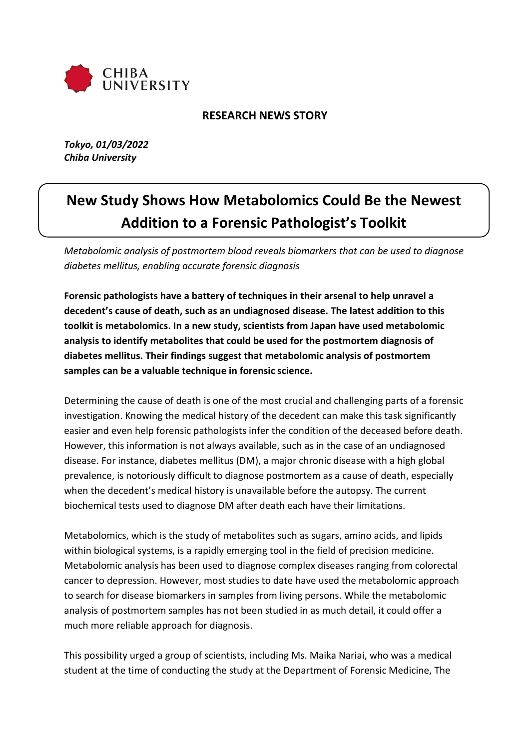

# **RESEARCH NEWS STORY**

*Tokyo, 01/03/2022 Chiba University*

# **New Study Shows How Metabolomics Could Be the Newest Addition to a Forensic Pathologist's Toolkit**

*Metabolomic analysis of postmortem blood reveals biomarkers that can be used to diagnose diabetes mellitus, enabling accurate forensic diagnosis*

**Forensic pathologists have a battery of techniques in their arsenal to help unravel a decedent's cause of death, such as an undiagnosed disease. The latest addition to this toolkit is metabolomics. In a new study, scientists from Japan have used metabolomic analysis to identify metabolites that could be used for the postmortem diagnosis of diabetes mellitus. Their findings suggest that metabolomic analysis of postmortem samples can be a valuable technique in forensic science.**

Determining the cause of death is one of the most crucial and challenging parts of a forensic investigation. Knowing the medical history of the decedent can make this task significantly easier and even help forensic pathologists infer the condition of the deceased before death. However, this information is not always available, such as in the case of an undiagnosed disease. For instance, diabetes mellitus (DM), a major chronic disease with a high global prevalence, is notoriously difficult to diagnose postmortem as a cause of death, especially when the decedent's medical history is unavailable before the autopsy. The current biochemical tests used to diagnose DM after death each have their limitations.

Metabolomics, which is the study of metabolites such as sugars, amino acids, and lipids within biological systems, is a rapidly emerging tool in the field of precision medicine. Metabolomic analysis has been used to diagnose complex diseases ranging from colorectal cancer to depression. However, most studies to date have used the metabolomic approach to search for disease biomarkers in samples from living persons. While the metabolomic analysis of postmortem samples has not been studied in as much detail, it could offer a much more reliable approach for diagnosis.

This possibility urged a group of scientists, including Ms. Maika Nariai, who was a medical student at the time of conducting the study at the Department of Forensic Medicine, The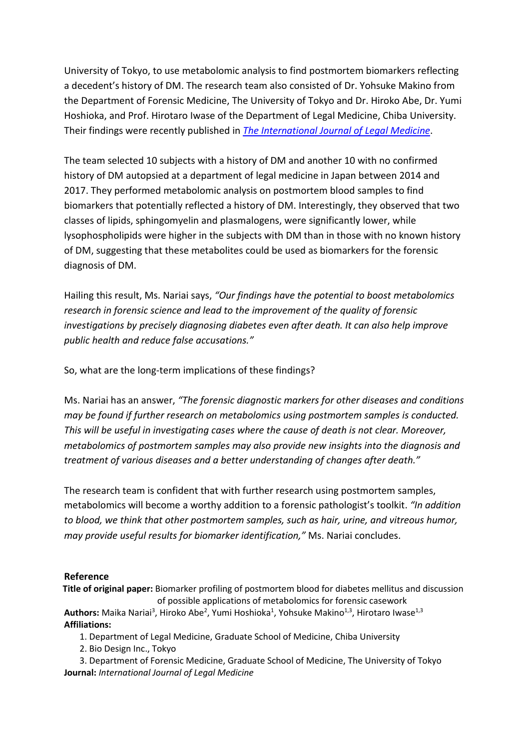University of Tokyo, to use metabolomic analysis to find postmortem biomarkers reflecting a decedent's history of DM. The research team also consisted of Dr. Yohsuke Makino from the Department of Forensic Medicine, The University of Tokyo and Dr. Hiroko Abe, Dr. Yumi Hoshioka, and Prof. Hirotaro Iwase of the Department of Legal Medicine, Chiba University. Their findings were recently published in *[The International Journal of Legal Medicine](https://link.springer.com/article/10.1007/s00414-021-02767-w)*.

The team selected 10 subjects with a history of DM and another 10 with no confirmed history of DM autopsied at a department of legal medicine in Japan between 2014 and 2017. They performed metabolomic analysis on postmortem blood samples to find biomarkers that potentially reflected a history of DM. Interestingly, they observed that two classes of lipids, sphingomyelin and plasmalogens, were significantly lower, while lysophospholipids were higher in the subjects with DM than in those with no known history of DM, suggesting that these metabolites could be used as biomarkers for the forensic diagnosis of DM.

Hailing this result, Ms. Nariai says, *"Our findings have the potential to boost metabolomics research in forensic science and lead to the improvement of the quality of forensic investigations by precisely diagnosing diabetes even after death. It can also help improve public health and reduce false accusations."*

So, what are the long-term implications of these findings?

Ms. Nariai has an answer, *"The forensic diagnostic markers for other diseases and conditions may be found if further research on metabolomics using postmortem samples is conducted. This will be useful in investigating cases where the cause of death is not clear. Moreover, metabolomics of postmortem samples may also provide new insights into the diagnosis and treatment of various diseases and a better understanding of changes after death."*

The research team is confident that with further research using postmortem samples, metabolomics will become a worthy addition to a forensic pathologist's toolkit. *"In addition to blood, we think that other postmortem samples, such as hair, urine, and vitreous humor, may provide useful results for biomarker identification,"* Ms. Nariai concludes.

## **Reference**

**Title of original paper:** Biomarker profiling of postmortem blood for diabetes mellitus and discussion of possible applications of metabolomics for forensic casework

Authors: Maika Nariai<sup>3</sup>, Hiroko Abe<sup>2</sup>, Yumi Hoshioka<sup>1</sup>, Yohsuke Makino<sup>1,3</sup>, Hirotaro Iwase<sup>1,3</sup> **Affiliations:**

- 1. Department of Legal Medicine, Graduate School of Medicine, Chiba University
- 2. Bio Design Inc., Tokyo

3. Department of Forensic Medicine, Graduate School of Medicine, The University of Tokyo **Journal:** *International Journal of Legal Medicine*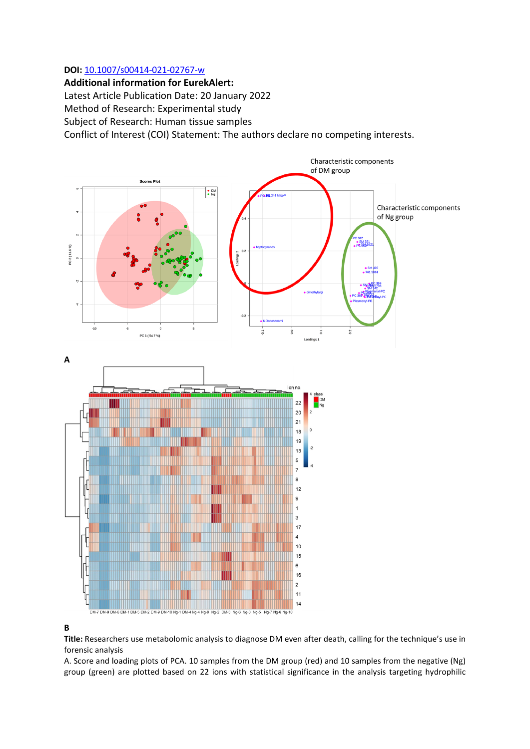#### **DOI:** [10.1007/s00414-021-02767-w](https://doi.org/10.1007/s00414-021-02767-w)

**Additional information for EurekAlert:**  Latest Article Publication Date: 20 January 2022 Method of Research: Experimental study Subject of Research: Human tissue samples Conflict of Interest (COI) Statement: The authors declare no competing interests.



# **B**

**Title:** Researchers use metabolomic analysis to diagnose DM even after death, calling for the technique's use in forensic analysis

A. Score and loading plots of PCA. 10 samples from the DM group (red) and 10 samples from the negative (Ng) group (green) are plotted based on 22 ions with statistical significance in the analysis targeting hydrophilic